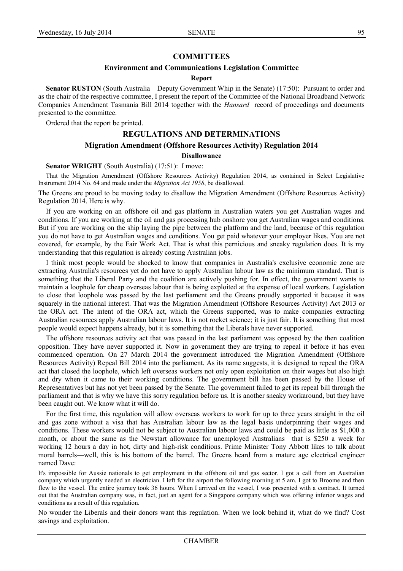# **COMMITTEES**

### **Environment and Communications Legislation Committee**

### **Report**

**Senator RUSTON** (South Australia—Deputy Government Whip in the Senate) (17:50): Pursuant to order and as the chair of the respective committee, I present the report of the Committee of the National Broadband Network Companies Amendment Tasmania Bill 2014 together with the *Hansard* record of proceedings and documents presented to the committee.

Ordered that the report be printed.

# **REGULATIONS AND DETERMINATIONS**

# **Migration Amendment (Offshore Resources Activity) Regulation 2014**

# **Disallowance**

**Senator WRIGHT** (South Australia) (17:51): I move:

That the Migration Amendment (Offshore Resources Activity) Regulation 2014, as contained in Select Legislative Instrument 2014 No. 64 and made under the *Migration Act 1958*, be disallowed.

The Greens are proud to be moving today to disallow the Migration Amendment (Offshore Resources Activity) Regulation 2014. Here is why.

If vou are working on an offshore oil and gas platform in Australian waters you get Australian wages and conditions. If you are working at the oil and gas processing hub onshore you get Australian wages and conditions. But if you are working on the ship laying the pipe between the platform and the land, because of this regulation you do not have to get Australian wages and conditions. You get paid whatever your employer likes. You are not covered, for example, by the Fair Work Act. That is what this pernicious and sneaky regulation does. It is my understanding that this regulation is already costing Australian jobs.

I think most people would be shocked to know that companies in Australia's exclusive economic zone are extracting Australia's resources yet do not have to apply Australian labour law as the minimum standard. That is something that the Liberal Party and the coalition are actively pushing for. In effect, the government wants to maintain a loophole for cheap overseas labour that is being exploited at the expense of local workers. Legislation to close that loophole was passed by the last parliament and the Greens proudly supported it because it was squarely in the national interest. That was the Migration Amendment (Offshore Resources Activity) Act 2013 or the ORA act. The intent of the ORA act, which the Greens supported, was to make companies extracting Australian resources apply Australian labour laws. It is not rocket science; it is just fair. It is something that most people would expect happens already, but it is something that the Liberals have never supported.

The offshore resources activity act that was passed in the last parliament was opposed by the then coalition opposition. They have never supported it. Now in government they are trying to repeal it before it has even commenced operation. On 27 March 2014 the government introduced the Migration Amendment (Offshore) Resources Activity) Repeal Bill 2014 into the parliament. As its name suggests, it is designed to repeal the ORA act that closed the loophole, which left overseas workers not only open exploitation on their wages but also high and dry when it came to their working conditions. The government bill has been passed by the House of Representatives but has not yet been passed by the Senate. The government failed to get its repeal bill through the parliament and that is why we have this sorry regulation before us. It is another sneaky workaround, but they have been caught out. We know what it will do.

For the first time, this regulation will allow overseas workers to work for up to three years straight in the oil and) gas zone without a visa that has Australian labour law as the legal basis underpinning their wages and conditions. These workers would not be subject to Australian labour laws and could be paid as little as \$1,000 a month, or about the same as the Newstart allowance for unemployed Australians—that is \$250 a week for working) 12 hours a day in hot, dirty and high-risk conditions. Prime Minister Tony Abbott likes to talk about moral barrels—well, this is his bottom of the barrel. The Greens heard from a mature age electrical engineer named Dave<sup>-</sup>

It's impossible for Aussie nationals to get employment in the offshore oil and gas sector. I got a call from an Australian company which urgently needed an electrician. I left for the airport the following morning at 5 am. I got to Broome and then flew to the vessel. The entire journey took 36 hours. When I arrived on the vessel, I was presented with a contract. It turned out that the Australian company was, in fact, just an agent for a Singapore company which was offering inferior wages and conditions as a result of this regulation.

No wonder the Liberals and their donors want this regulation. When we look behind it, what do we find? Cost savings and exploitation.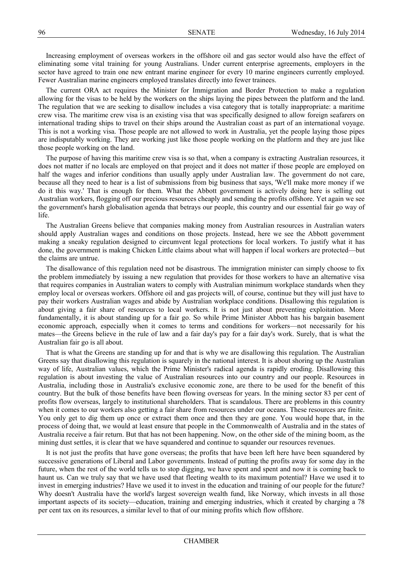Increasing employment of overseas workers in the offshore oil and gas sector would also have the effect of eliminating some vital training for young Australians. Under current enterprise agreements, employers in the sector) have agreed to train one new entrant marine engineer for every 10 marine engineers currently employed. Fewer Australian marine engineers employed translates directly into fewer trainees.

The current ORA act requires the Minister for Immigration and Border Protection to make a regulation allowing for the visas to be held by the workers on the ships laying the pipes between the platform and the land. The regulation that we are seeking to disallow includes a visa category that is totally inappropriate: a maritime crew visa. The maritime crew visa is an existing visa that was specifically designed to allow foreign seafarers on international trading ships to travel on their ships around the Australian coast as part of an international voyage. This is not a working visa. Those people are not allowed to work in Australia, yet the people laying those pipes are indisputably working. They are working just like those people working on the platform and they are just like those people working on the land.

The purpose of having this maritime crew visa is so that, when a company is extracting Australian resources, it does not matter if no locals are employed on that project and it does not matter if those people are employed on half the wages and inferior conditions than usually apply under Australian law. The government do not care, because all they need to hear is a list of submissions from big business that says, 'We'll make more money if we do it this way.' That is enough for them. What the Abbott government is actively doing here is selling out Australian workers, flogging off our precious resources cheaply and sending the profits offshore. Yet again we see the government's harsh globalisation agenda that betrays our people, this country and our essential fair go way of life.

The Australian Greens believe that companies making money from Australian resources in Australian waters should apply Australian wages and conditions on those projects. Instead, here we see the Abbott government making a sneaky regulation designed to circumvent legal protections for local workers. To justify what it has done, the government is making Chicken Little claims about what will happen if local workers are protected—but the claims are untrue.

The disallowance of this regulation need not be disastrous. The immigration minister can simply choose to fix the problem immediately by issuing a new regulation that provides for those workers to have an alternative visa that requires companies in Australian waters to comply with Australian minimum workplace standards when they employ local or overseas workers. Offshore oil and gas projects will, of course, continue but they will just have to pay their workers Australian wages and abide by Australian workplace conditions. Disallowing this regulation is about giving a fair share of resources to local workers. It is not just about preventing exploitation. More fundamentally, it is about standing up for a fair go. So while Prime Minister Abbott has his bargain basement economic approach, especially when it comes to terms and conditions for workers—not necessarily for his mates—the Greens believe in the rule of law and a fair day's pay for a fair day's work. Surely, that is what the Australian fair go is all about.

That is what the Greens are standing up for and that is why we are disallowing this regulation. The Australian Greens say that disallowing this regulation is squarely in the national interest. It is about shoring up the Australian way of life, Australian values, which the Prime Minister's radical agenda is rapidly eroding. Disallowing this regulation is about investing the value of Australian resources into our country and our people. Resources in Australia, including those in Australia's exclusive economic zone, are there to be used for the benefit of this country. But the bulk of those benefits have been flowing overseas for years. In the mining sector 83 per cent of profits flow overseas, largely to institutional shareholders. That is scandalous. There are problems in this country when it comes to our workers also getting a fair share from resources under our oceans. These resources are finite. You) only get to dig them up once or extract them once and then they are gone. You would hope that, in the process of doing that, we would at least ensure that people in the Commonwealth of Australia and in the states of Australia receive a fair return. But that has not been happening. Now, on the other side of the mining boom, as the mining dust settles, it is clear that we have squandered and continue to squander our resources revenues.

It is not just the profits that have gone overseas; the profits that have been left here have been squandered by successive generations of Liberal and Labor governments. Instead of putting the profits away for some day in the future, when the rest of the world tells us to stop digging, we have spent and spent and now it is coming back to haunt us. Can we truly say that we have used that fleeting wealth to its maximum potential? Have we used it to invest in emerging industries? Have we used it to invest in the education and training of our people for the future? Why doesn't Australia have the world's largest sovereign wealth fund, like Norway, which invests in all those important aspects of its society—education, training and emerging industries, which it created by charging a 78 per cent tax on its resources, a similar level to that of our mining profits which flow offshore.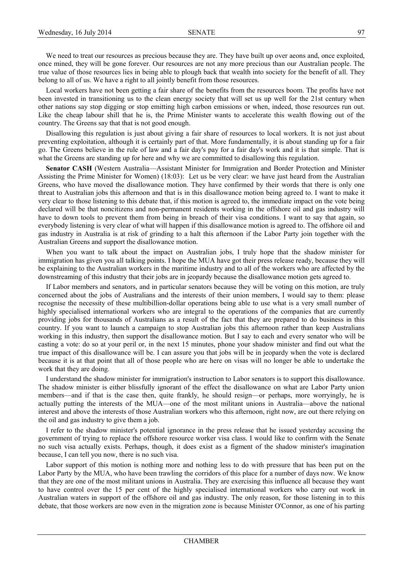We need to treat our resources as precious because they are. They have built up over aeons and, once exploited, once mined, they will be gone forever. Our resources are not any more precious than our Australian people. The true value of those resources lies in being able to plough back that wealth into society for the benefit of all. They belong to all of us. We have a right to all jointly benefit from those resources.

Local workers have not been getting a fair share of the benefits from the resources boom. The profits have not been invested in transitioning us to the clean energy society that will set us up well for the 21st century when other nations say stop digging or stop emitting high carbon emissions or when, indeed, those resources run out. Like the cheap labour shill that he is, the Prime Minister wants to accelerate this wealth flowing out of the country. The Greens say that that is not good enough.

Disallowing this regulation is just about giving a fair share of resources to local workers. It is not just about preventing exploitation, although it is certainly part of that. More fundamentally, it is about standing up for a fair go. The Greens believe in the rule of law and a fair day's pay for a fair day's work and it is that simple. That is what the Greens are standing up for here and why we are committed to disallowing this regulation.

**Senator CASH** (Western Australia—Assistant Minister for Immigration and Border Protection and Minister Assisting the Prime Minister for Women) (18:03): Let us be very clear: we have just heard from the Australian Greens, who have moved the disallowance motion. They have confirmed by their words that there is only one threat to Australian jobs this afternoon and that is in this disallowance motion being agreed to. I want to make it very clear to those listening to this debate that, if this motion is agreed to, the immediate impact on the vote being declared will be that noncitizens and non-permanent residents working in the offshore oil and gas industry will have to down tools to prevent them from being in breach of their visa conditions. I want to say that again, so everybody listening is very clear of what will happen if this disallowance motion is agreed to. The offshore oil and gas industry in Australia is at risk of grinding to a halt this afternoon if the Labor Party join together with the Australian Greens and support the disallowance motion.

When you) want to talk about the impact on Australian jobs, I truly hope that the shadow minister for immigration has given you all talking points. I hope the MUA have got their press release ready, because they will be explaining to the Australian workers in the maritime industry and to all of the workers who are affected by the downstreaming of this industry that their jobs are in jeopardy because the disallowance motion gets agreed to.

If)Labor members and senators, and in particular senators because they will be voting on this motion, are truly concerned about the jobs of Australians and the interests of their union members, I would say to them: please recognise the necessity of these multibillion-dollar operations being able to use what is a very small number of highly specialised international workers who are integral to the operations of the companies that are currently providing jobs for thousands of Australians as a result of the fact that they are prepared to do business in this country. If you want to launch a campaign to stop Australian jobs this afternoon rather than keep Australians working in this industry, then support the disallowance motion. But I say to each and every senator who will be casting a vote: do so at your peril or, in the next 15 minutes, phone your shadow minister and find out what the true)impact of this disallowance will be. I can assure you that jobs will be in jeopardy when the vote is declared because it is at that point that all of those people who are here on visas will no longer be able to undertake the work that they are doing.

I understand the shadow minister for immigration's instruction to Labor senators is to support this disallowance. The shadow minister is either blissfully ignorant of the effect the disallowance on what are Labor Party union members—and if that is the case then, quite frankly, he should resign—or perhaps, more worryingly, he is actually putting the interests of the MUA—one of the most militant unions in Australia—above the national interest and above the interests of those Australian workers who this afternoon, right now, are out there relying on the oil and gas industry to give them a job.

I) refer to the shadow minister's potential ignorance in the press release that he issued yesterday accusing the government of trying to replace the offshore resource worker visa class. I would like to confirm with the Senate no such visa actually exists. Perhaps, though, it does exist as a figment of the shadow minister's imagination because, I can tell you now, there is no such visa.

Labor support of this motion is nothing more and nothing less to do with pressure that has been put on the Labor Party by the MUA, who have been trawling the corridors of this place for a number of days now. We know that they are one of the most militant unions in Australia. They are exercising this influence all because they want to have control over the 15 per cent of the highly specialised international workers who carry out work in Australian waters in support of the offshore oil and gas industry. The only reason, for those listening in to this debate, that those workers are now even in the migration zone is because Minister O'Connor, as one of his parting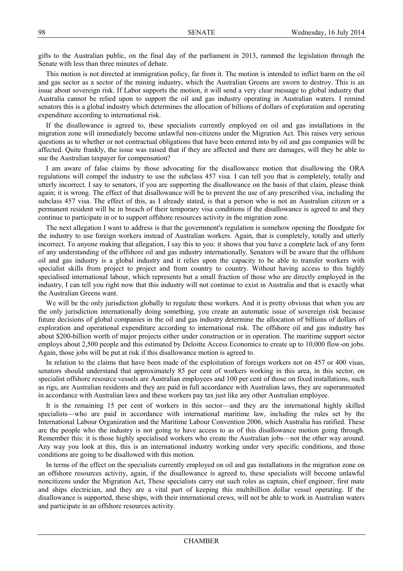gifts to the Australian public, on the final day of the parliament in 2013, rammed the legislation through the Senate with less than three minutes of debate.

This motion is not directed at immigration policy, far from it. The motion is intended to inflict harm on the oil and gas sector as a sector of the mining industry, which the Australian Greens are sworn to destroy. This is an issue about sovereign risk. If Labor supports the motion, it will send a very clear message to global industry that Australia cannot be relied upon to support the oil and gas industry operating in Australian waters. I remind senators this is a global industry which determines the allocation of billions of dollars of exploration and operating expenditure according to international risk.

If the disallowance is agreed to, these specialists currently employed on oil and gas installations in the migration zone will immediately become unlawful non-citizens under the Migration Act. This raises very serious questions as to whether or not contractual obligations that have been entered into by oil and gas companies will be affected. Quite frankly, the issue was raised that if they are affected and there are damages, will they be able to sue the Australian taxpayer for compensation?

I am aware of false claims by those advocating for the disallowance motion that disallowing the ORA regulations will compel the industry to use the subclass 457 visa. I can tell you that is completely, totally and utterly incorrect. I say to senators, if you are supporting the disallowance on the basis of that claim, please think again; it is wrong. The effect of that disallowance will be to prevent the use of any prescribed visa, including the subclass 457 visa. The effect of this, as I already stated, is that a person who is not an Australian citizen or a permanent resident will be in breach of their temporary visa conditions if the disallowance is agreed to and they continue to participate in or to support offshore resources activity in the migration zone.

The next allegation I want to address is that the government's regulation is somehow opening the floodgate for the industry to use foreign workers instead of Australian workers. Again, that is completely, totally and utterly incorrect. To anyone making that allegation, I say this to you: it shows that you have a complete lack of any form of any understanding of the offshore oil and gas industry internationally. Senators will be aware that the offshore oil) and) gas) industry is a global industry and it relies upon the capacity to be able to transfer workers with specialist skills from project to project and from country to country. Without having access to this highly specialised international labour, which represents but a small fraction of those who are directly employed in the industry, I can tell you right now that this industry will not continue to exist in Australia and that is exactly what the Australian Greens want.

We will be the only jurisdiction globally to regulate these workers. And it is pretty obvious that when you are the only jurisdiction internationally doing something, you create an automatic issue of sovereign risk because future decisions of global companies in the oil and gas industry determine the allocation of billions of dollars of exploration and operational expenditure according to international risk. The offshore oil and gas industry has about \$200-billion worth of major projects either under construction or in operation. The maritime support sector employs about 2,500 people and this estimated by Deloitte Access Economics to create up to 10,000 flow-on jobs. Again, those jobs will be put at risk if this disallowance motion is agreed to.

In relation to the claims that have been made of the exploitation of foreign workers not on 457 or 400 visas, senators should understand that approximately 85 per cent of workers working in this area, in this sector, on specialist offshore resource vessels are Australian employees and 100 per cent of those on fixed installations, such as rigs, are Australian residents and they are paid in full accordance with Australian laws, they are superannuated in accordance with Australian laws and these workers pay tax just like any other Australian employee.

It is the remaining 15 per cent of workers in this sector—and they are the international highly skilled specialists—who are paid in accordance with international maritime law, including the rules set by the International Labour Organization and the Maritime Labour Convention 2006, which Australia has ratified. These are the people who the industry is not going to have access to as of this disallowance motion going through. Remember this: it is those highly specialised workers who create the Australian jobs—not the other way around. Any way you look at this, this is an international industry working under very specific conditions, and those conditions are going to be disallowed with this motion.

In terms of the effect on the specialists currently employed on oil and gas installations in the migration zone on an offshore resources activity, again, if the disallowance is agreed to, these specialists will become unlawful noncitizens under the Migration Act. These specialists carry out such roles as captain, chief engineer, first mate and ships electrician, and they are a vital part of keeping this multibillion dollar vessel operating. If the disallowance is supported, these ships, with their international crews, will not be able to work in Australian waters and participate in an offshore resources activity.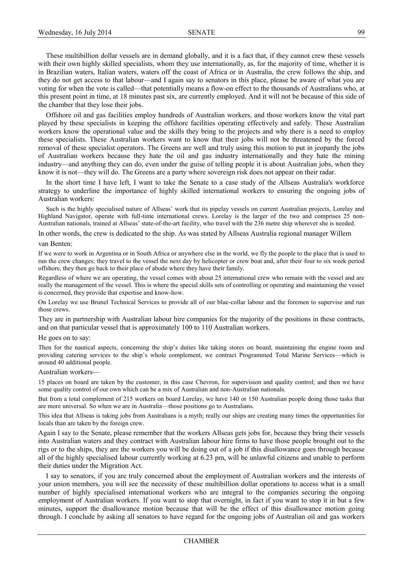These multibillion dollar vessels are in demand globally, and it is a fact that, if they cannot crew these vessels with their own highly skilled specialists, whom they use internationally, as, for the majority of time, whether it is in Brazilian waters, Italian waters, waters off the coast of Africa or in Australia, the crew follows the ship, and they do not get access to that labour—and I again say to senators in this place, please be aware of what you are voting for when the vote is called—that potentially means a flow-on effect to the thousands of Australians who, at this present point in time, at 18 minutes past six, are currently employed. And it will not be because of this side of the chamber that they lose their jobs.

Offshore oil and gas facilities employ hundreds of Australian workers, and those workers know the vital part played by these specialists in keeping the offshore facilities operating effectively and safely. These Australian workers know the operational value and the skills they bring to the projects and why there is a need to employ these specialists. These Australian workers want to know that their jobs will not be threatened by the forced removal of these specialist operators. The Greens are well and truly using this motion to put in jeopardy the jobs of) Australian) workers) because) they) hate) the) oil) and) gas) industry) internationally) and) they) hate) the) mining) industry—and anything they can do, even under the guise of telling people it is about Australian jobs, when they know it is not—they will do. The Greens are a party where sovereign risk does not appear on their radar.

In the short time I have left, I want to take the Senate to a case study of the Allseas Australia's workforce strategy to underline the importance of highly skilled international workers to ensuring the ongoing jobs of Australian workers:

Such is the highly specialised nature of Allseas' work that its pipelay vessels on current Australian projects, Lorelay and Highland Navigator, operate with full-time international crews. Lorelay is the larger of the two and comprises 25 non-Australian nationals, trained at Allseas' state-of-the-art facility, who travel with the 236 metre ship wherever she is needed.

In other words, the crew is dedicated to the ship. As was stated by Allseas Australia regional manager Willem

#### van Benten:

If we were to work in Argentina or in South Africa or anywhere else in the world, we fly the people to the place that is used to run the crew changes; they travel to the vessel the next day by helicopter or crew boat and, after their four to six week period offshore, they then go back to their place of abode where they have their family.

Regardless of where we are operating, the vessel comes with about 25 international crew who remain with the vessel and are really the management of the vessel. This is where the special skills sets of controlling or operating and maintaining the vessel is concerned, they provide that expertise and know-how.

On Lorelay we use Brunel Technical Services to provide all of our blue-collar labour and the foremen to supervise and run those crews.

They are in partnership with Australian labour hire companies for the majority of the positions in these contracts, and on that particular vessel that is approximately 100 to 110 Australian workers.

# He goes on to say:

Then for the nautical aspects, concerning the ship's duties like taking stores on board, maintaining the engine room and providing catering services to the ship's whole complement, we contract Programmed Total Marine Services—which is around 40 additional people.

#### Australian workers

15 places on board are taken by the customer, in this case Chevron, for supervision and quality control; and then we have some quality control of our own which can be a mix of Australian and non-Australian nationals.

But from a total complement of 215 workers on board Lorelay, we have 140 or 150 Australian people doing those tasks that are more universal. So when we are in Australia—those positions go to Australians.

This idea that Allseas is taking jobs from Australians is a myth; really our ships are creating many times the opportunities for locals than are taken by the foreign crew.

Again I say to the Senate, please remember that the workers Allseas gets jobs for, because they bring their vessels into)Australian waters and they contract with Australian labour hire firms to have those people brought out to the rigs or to the ships, they are the workers you will be doing out of a job if this disallowance goes through because all of the highly specialised labour currently working at 6.23 pm, will be unlawful citizens and unable to perform their duties under the Migration Act.

I say to senators, if you are truly concerned about the employment of Australian workers and the interests of your union members, you will see the necessity of these multibillion dollar operations to access what is a small number of highly specialised international workers who are integral to the companies securing the ongoing employment of Australian workers. If you want to stop that overnight, in fact if you want to stop it in but a few minutes, support the disallowance motion because that will be the effect of this disallowance motion going through. I conclude by asking all senators to have regard for the ongoing jobs of Australian oil and gas workers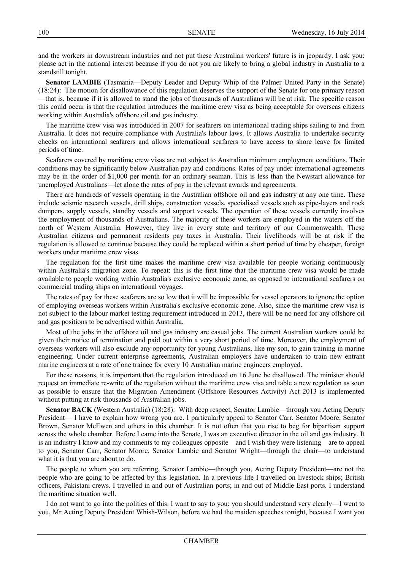and the workers in downstream industries and not put these Australian workers' future is in jeopardy. I ask you: please act in the national interest because if you do not you are likely to bring a global industry in Australia to a standstill tonight.

**Senator LAMBIE** (Tasmania—Deputy Leader and Deputy Whip of the Palmer United Party in the Senate) (18:24): The motion for disallowance of this regulation deserves the support of the Senate for one primary reason —that is, because if it is allowed to stand the jobs of thousands of Australians will be at risk. The specific reason this could occur is that the regulation introduces the maritime crew visa as being acceptable for overseas citizens working within Australia's offshore oil and gas industry.

The maritime crew visa was introduced in 2007 for seafarers on international trading ships sailing to and from Australia. It does not require compliance with Australia's labour laws. It allows Australia to undertake security checks on international seafarers and allows international seafarers to have access to shore leave for limited periods of time.

Seafarers covered by maritime crew visas are not subject to Australian minimum employment conditions. Their conditions may be significantly below Australian pay and conditions. Rates of pay under international agreements may be in the order of \$1,000 per month for an ordinary seaman. This is less than the Newstart allowance for unemployed Australians—let alone the rates of pay in the relevant awards and agreements.

There are hundreds of vessels operating in the Australian offshore oil and gas industry at any one time. These include seismic research vessels, drill ships, construction vessels, specialised vessels such as pipe-layers and rock dumpers, supply vessels, standby vessels and support vessels. The operation of these vessels currently involves the employment of thousands of Australians. The majority of these workers are employed in the waters off the north of Western Australia. However, they live in every state and territory of our Commonwealth. These Australian citizens and permanent residents pay taxes in Australia. Their livelihoods will be at risk if the regulation is allowed to continue because they could be replaced within a short period of time by cheaper, foreign workers under maritime crew visas.

The regulation for the first time makes the maritime crew visa available for people working continuously within Australia's migration zone. To repeat: this is the first time that the maritime crew visa would be made available to people working within Australia's exclusive economic zone, as opposed to international seafarers on commercial trading ships on international voyages.

The rates of pay for these seafarers are so low that it will be impossible for vessel operators to ignore the option of employing overseas workers within Australia's exclusive economic zone. Also, since the maritime crew visa is not subject to the labour market testing requirement introduced in 2013, there will be no need for any offshore oil and gas positions to be advertised within Australia.

Most of the jobs in the offshore oil and gas industry are casual jobs. The current Australian workers could be given their notice of termination and paid out within a very short period of time. Moreover, the employment of overseas workers will also exclude any opportunity for young Australians, like my son, to gain training in marine engineering. Under current enterprise agreements, Australian employers have undertaken to train new entrant marine engineers at a rate of one trainee for every 10 Australian marine engineers employed.

For these reasons, it is important that the regulation introduced on 16 June be disallowed. The minister should request an immediate re-write of the regulation without the maritime crew visa and table a new regulation as soon as possible to ensure that the Migration Amendment (Offshore Resources Activity) Act 2013 is implemented without putting at risk thousands of Australian jobs.

**Senator BACK** (Western Australia) (18:28): With deep respect, Senator Lambie—through you Acting Deputy President—I have to explain how wrong you are. I particularly appeal to Senator Carr, Senator Moore, Senator Brown, Senator McEwen and others in this chamber. It is not often that you rise to beg for bipartisan support across the whole chamber. Before I came into the Senate, I was an executive director in the oil and gas industry. It is an industry I know and my comments to my colleagues opposite—and I wish they were listening—are to appeal to you, Senator Carr, Senator Moore, Senator Lambie and Senator Wright—through the chair—to understand what it is that you are about to do.

The people to whom you are referring, Senator Lambie—through you, Acting Deputy President—are not the people who are going to be affected by this legislation. In a previous life I travelled on livestock ships; British officers, Pakistani crews. I travelled in and out of Australian ports; in and out of Middle East ports. I understand the maritime situation well.

I do not want to go into the politics of this. I want to say to you: you should understand very clearly—I went to you, Mr Acting Deputy President Whish-Wilson, before we had the maiden speeches tonight, because I want you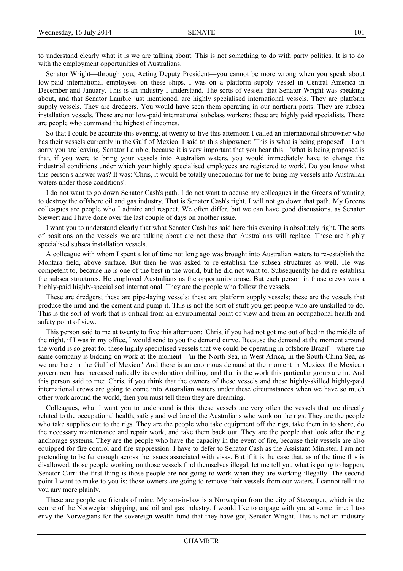to)understand clearly what it is we are talking about. This is not something to do with party politics. It is to do with the employment opportunities of Australians.

Senator Wright—through you, Acting Deputy President—you cannot be more wrong when you speak about low-paid international employees on these ships. I was on a platform supply vessel in Central America in December and January. This is an industry I understand. The sorts of vessels that Senator Wright was speaking about, and that Senator Lambie just mentioned, are highly specialised international vessels. They are platform supply vessels. They are dredgers. You would have seen them operating in our northern ports. They are subsea installation vessels. These are not low-paid international subclass workers; these are highly paid specialists. These are people who command the highest of incomes.

So that I could be accurate this evening, at twenty to five this afternoon I called an international shipowner who has their vessels currently in the Gulf of Mexico. I said to this shipowner: 'This is what is being proposed'—I am sorry you are leaving, Senator Lambie, because it is very important that you hear this—'what is being proposed is that, if you were to bring your vessels into Australian waters, you would immediately have to change the industrial conditions under which your highly specialised employees are registered to work'. Do you know what this person's answer was? It was: 'Chris, it would be totally uneconomic for me to bring my vessels into Australian waters under those conditions'.

I do not want to go down Senator Cash's path. I do not want to accuse my colleagues in the Greens of wanting to destroy the offshore oil and gas industry. That is Senator Cash's right. I will not go down that path. My Greens colleagues are people who I admire and respect. We often differ, but we can have good discussions, as Senator Siewert and I have done over the last couple of days on another issue.

I) want you to understand clearly that what Senator Cash has said here this evening is absolutely right. The sorts of positions on the vessels we are talking about are not those that Australians will replace. These are highly specialised subsea installation vessels.

A colleague with whom I spent a lot of time not long ago was brought into Australian waters to re-establish the Montara field, above surface. But then he was asked to re-establish the subsea structures as well. He was competent to, because he is one of the best in the world, but he did not want to. Subsequently he did re-establish the subsea structures. He employed Australians as the opportunity arose. But each person in those crews was a highly-paid highly-specialised international. They are the people who follow the vessels.

These are dredgers; these are pipe-laying vessels; these are platform supply vessels; these are the vessels that produce the mud and the cement and pump it. This is not the sort of stuff you get people who are unskilled to do. This is the sort of work that is critical from an environmental point of view and from an occupational health and safety point of view.

This person said to me at twenty to five this afternoon: 'Chris, if you had not got me out of bed in the middle of the night, if I was in my office, I would send to you the demand curve. Because the demand at the moment around the world is so great for these highly specialised vessels that we could be operating in offshore Brazil'—where the same company is bidding on work at the moment—'in the North Sea, in West Africa, in the South China Sea, as we are here in the Gulf of Mexico.' And there is an enormous demand at the moment in Mexico; the Mexican government has increased radically its exploration drilling, and that is the work this particular group are in. And this person said to me: 'Chris, if you think that the owners of these vessels and these highly-skilled highly-paid international crews are going to come into Australian waters under these circumstances when we have so much other work around the world, then you must tell them they are dreaming.'

Colleagues, what I want you to understand is this: these vessels are very often the vessels that are directly related to the occupational health, safety and welfare of the Australians who work on the rigs. They are the people who take supplies out to the rigs. They are the people who take equipment off the rigs, take them in to shore, do the necessary maintenance and repair work, and take them back out. They are the people that look after the rig anchorage systems. They are the people who have the capacity in the event of fire, because their vessels are also equipped for fire control and fire suppression. I have to defer to Senator Cash as the Assistant Minister. I am not pretending to be far enough across the issues associated with visas. But if it is the case that, as of the time this is disallowed, those people working on those vessels find themselves illegal, let me tell you what is going to happen, Senator Carr: the first thing is those people are not going to work when they are working illegally. The second point I want to make to you is: those owners are going to remove their vessels from our waters. I cannot tell it to you any more plainly.

These are people are friends of mine. My son-in-law is a Norwegian from the city of Stavanger, which is the centre of the Norwegian shipping, and oil and gas industry. I would like to engage with you at some time: I too envy the Norwegians for the sovereign wealth fund that they have got, Senator Wright. This is not an industry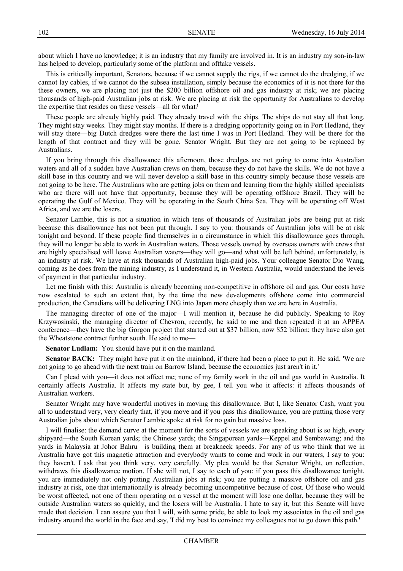about which I have no knowledge; it is an industry that my family are involved in. It is an industry my son-in-law has helped to develop, particularly some of the platform and offtake vessels.

This is critically important. Senators, because if we cannot supply the rigs, if we cannot do the dredging, if we cannot lay cables, if we cannot do the subsea installation, simply because the economics of it is not there for the these owners, we are placing not just the \$200 billion offshore oil and gas industry at risk; we are placing thousands of high-paid Australian jobs at risk. We are placing at risk the opportunity for Australians to develop the expertise that resides on these vessels—all for what?

These people are already highly paid. They already travel with the ships. The ships do not stay all that long. They might stay weeks. They might stay months. If there is a dredging opportunity going on in Port Hedland, they will stay there—big Dutch dredges were there the last time I was in Port Hedland. They will be there for the length of that contract and they will be gone, Senator Wright. But they are not going to be replaced by Australians.)

If you) bring through this disallowance this afternoon, those dredges are not going to come into Australian waters and all of a sudden have Australian crews on them, because they do not have the skills. We do not have a skill) base in this country and we will never develop a skill base in this country simply because those vessels are not going to be here. The Australians who are getting jobs on them and learning from the highly skilled specialists who are there will not have that opportunity, because they will be operating offshore Brazil. They will be operating the Gulf of Mexico. They will be operating in the South China Sea. They will be operating off West Africa, and we are the losers.

Senator Lambie, this) is not a situation in which tens of thousands of Australian jobs are being put at risk because this disallowance has not been put through. I say to you: thousands of Australian jobs will be at risk tonight and beyond. If these people find themselves in a circumstance in which this disallowance goes through, they will no longer be able to work in Australian waters. Those vessels owned by overseas owners with crews that are highly specialised will leave Australian waters—they will go—and what will be left behind, unfortunately, is an) industry at risk. We have at risk thousands of Australian high-paid jobs. Your colleague Senator Dio Wang, coming as he does from the mining industry, as I understand it, in Western Australia, would understand the levels of payment in that particular industry.

Let me finish with this: Australia is already becoming non-competitive in offshore oil and gas. Our costs have now) escalated to such an extent that, by the time the new developments offshore come into commercial production, the Canadians will be delivering LNG into Japan more cheaply than we are here in Australia.

The managing director of one of the major—I will mention it, because he did publicly. Speaking to Roy Krzywosinski, the managing director of Chevron, recently, he said to me and then repeated it at an APPEA conference—they have the big Gorgon project that started out at \$37 billion, now \$52 billion; they have also got the Wheatstone contract further south. He said to me-

**Senator Ludlam:** You should have put it on the mainland.

**Senator BACK:** They might have put it on the mainland, if there had been a place to put it. He said, 'We are not going to go ahead with the next train on Barrow Island, because the economics just aren't in it.'

Can I plead with you—it does not affect me; none of my family work in the oil and gas world in Australia. It certainly affects Australia. It affects my state but, by gee, I tell you who it affects: it affects thousands of Australian workers.

Senator Wright may have wonderful motives in moving this disallowance. But I, like Senator Cash, want you all to understand very, very clearly that, if you move and if you pass this disallowance, you are putting those very Australian jobs about which Senator Lambie spoke at risk for no gain but massive loss.

I) will finalise: the demand curve at the moment for the sorts of vessels we are speaking about is so high, every shipyard—the South Korean yards; the Chinese yards; the Singaporean yards—Keppel and Sembawang; and the yards in Malaysia at Johor Bahru—is building them at breakneck speeds. For any of us who think that we in Australia have got this magnetic attraction and everybody wants to come and work in our waters. I say to you: they haven't. I ask that you think very, very carefully. My plea would be that Senator Wright, on reflection, withdraws this disallowance motion. If she will not, I say to each of you: if you pass this disallowance tonight, you) are immediately not only putting Australian jobs at risk: you are putting a massive offshore oil and gas industry at risk, one that internationally is already becoming uncompetitive because of cost. Of those who would be worst affected, not one of them operating on a vessel at the moment will lose one dollar, because they will be outside Australian waters so quickly, and the losers will be Australia. I hate to say it, but this Senate will have made that decision. I can assure you that I will, with some pride, be able to look my associates in the oil and gas industry around the world in the face and say, 'I did my best to convince my colleagues not to go down this path.'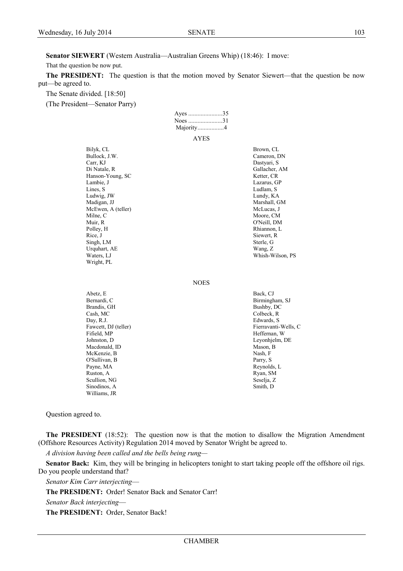**Senator SIEWERT** (Western Australia—Australian Greens Whip) (18:46): I move:

That the question be now put.

The PRESIDENT: The question is that the motion moved by Senator Siewert—that the question be now put—be agreed to.

Ayes ......................35

The Senate divided. [18:50]

(The President—Senator Parry)

|                                                                                                                                                                                                                                                                | Noes 31<br>Majority4 |                                                                                                                                                                                                                                                    |
|----------------------------------------------------------------------------------------------------------------------------------------------------------------------------------------------------------------------------------------------------------------|----------------------|----------------------------------------------------------------------------------------------------------------------------------------------------------------------------------------------------------------------------------------------------|
|                                                                                                                                                                                                                                                                | AYES                 |                                                                                                                                                                                                                                                    |
| Bilyk, CL<br>Bullock, J.W.<br>Carr, KJ<br>Di Natale, R<br>Hanson-Young, SC<br>Lambie, J<br>Lines, S<br>Ludwig, JW<br>Madigan, JJ<br>McEwen, A (teller)<br>Milne, C<br>Muir, R<br>Polley, H<br>Rice, J<br>Singh, LM<br>Urquhart, AE<br>Waters, LJ<br>Wright, PL |                      | Brown, CL<br>Cameron, DN<br>Dastyari, S<br>Gallacher, AM<br>Ketter, CR<br>Lazarus, GP<br>Ludlam, S<br>Lundy, KA<br>Marshall, GM<br>McLucas, J<br>Moore, CM<br>O'Neill, DM<br>Rhiannon, L<br>Siewert, R<br>Sterle, G<br>Wang, Z<br>Whish-Wilson, PS |
|                                                                                                                                                                                                                                                                | <b>NOES</b>          |                                                                                                                                                                                                                                                    |
| Abetz, E<br>Bernardi, C<br>Brandis, GH<br>Cash, MC<br>Day, R.J.<br>Fawcett, DJ (teller)<br>Fifield, MP<br>Johnston, D<br>Macdonald, ID<br>McKenzie, B<br>O'Sullivan, B<br>Payne, MA<br>Ruston, A<br>Scullion, NG<br>Sinodinos, A<br>Williams, JR               |                      | Back, CJ<br>Birmingham, SJ<br>Bushby, DC<br>Colbeck, R<br>Edwards, S<br>Fierravanti-Wells, C<br>Heffernan, W<br>Leyonhjelm, DE<br>Mason, B<br>Nash, F<br>Parry, S<br>Reynolds, L<br>Ryan, SM<br>Seselja, Z<br>Smith, D                             |

Question agreed to.

**The PRESIDENT** (18:52): The question now is that the motion to disallow the Migration Amendment (Offshore Resources Activity) Regulation 2014 moved by Senator Wright be agreed to.

*A,division,having,been,called,and,the,bells,being,rung²*

**Senator Back:** Kim, they will be bringing in helicopters tonight to start taking people off the offshore oil rigs. Do you people understand that?

**Senator Kim Carr interjecting-**

The PRESIDENT: Order! Senator Back and Senator Carr!

*Senator Back interjecting*—

The PRESIDENT: Order, Senator Back!